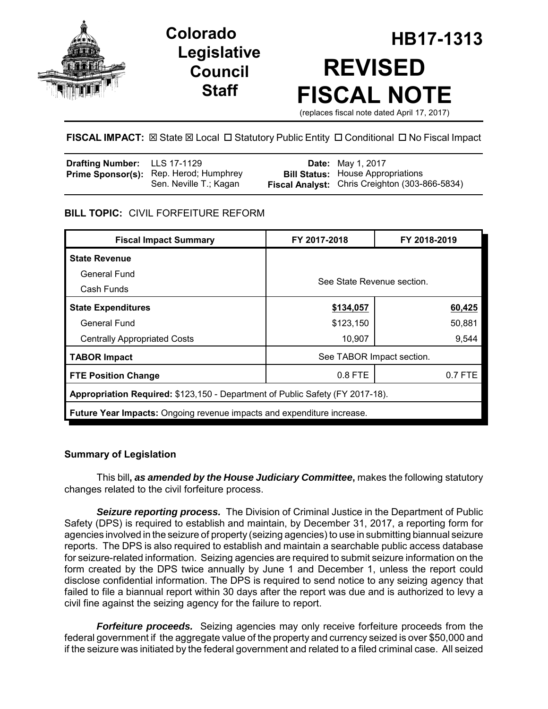

# **Legislative Council Staff**

# **HB17-1313 Colorado REVISED FISCAL NOTE** (replaces fiscal note dated April 17, 2017)

**FISCAL IMPACT:**  $\boxtimes$  **State**  $\boxtimes$  **Local □ Statutory Public Entity □ Conditional □ No Fiscal Impact** 

| Drafting Number: LLS 17-1129 |                                                                  | <b>Date:</b> May 1, 2017                                                                   |
|------------------------------|------------------------------------------------------------------|--------------------------------------------------------------------------------------------|
|                              | Prime Sponsor(s): Rep. Herod; Humphrey<br>Sen. Neville T.; Kagan | <b>Bill Status:</b> House Appropriations<br>Fiscal Analyst: Chris Creighton (303-866-5834) |

## **BILL TOPIC:** CIVIL FORFEITURE REFORM

| <b>Fiscal Impact Summary</b>                                                  | FY 2017-2018               | FY 2018-2019 |  |  |  |
|-------------------------------------------------------------------------------|----------------------------|--------------|--|--|--|
| <b>State Revenue</b>                                                          |                            |              |  |  |  |
| General Fund                                                                  | See State Revenue section. |              |  |  |  |
| Cash Funds                                                                    |                            |              |  |  |  |
| <b>State Expenditures</b>                                                     | \$134,057                  | 60,425       |  |  |  |
| General Fund                                                                  | \$123,150                  | 50,881       |  |  |  |
| <b>Centrally Appropriated Costs</b>                                           | 10,907                     | 9,544        |  |  |  |
| <b>TABOR Impact</b>                                                           | See TABOR Impact section.  |              |  |  |  |
| <b>FTE Position Change</b>                                                    | 0.8 FTE                    | $0.7$ FTE    |  |  |  |
| Appropriation Required: \$123,150 - Department of Public Safety (FY 2017-18). |                            |              |  |  |  |
| <b>Future Year Impacts:</b> Ongoing revenue impacts and expenditure increase. |                            |              |  |  |  |

### **Summary of Legislation**

This bill**,** *as amended by the House Judiciary Committee***,** makes the following statutory changes related to the civil forfeiture process.

*Seizure reporting process.* The Division of Criminal Justice in the Department of Public Safety (DPS) is required to establish and maintain, by December 31, 2017, a reporting form for agencies involved in the seizure of property (seizing agencies) to use in submitting biannual seizure reports. The DPS is also required to establish and maintain a searchable public access database for seizure-related information. Seizing agencies are required to submit seizure information on the form created by the DPS twice annually by June 1 and December 1, unless the report could disclose confidential information. The DPS is required to send notice to any seizing agency that failed to file a biannual report within 30 days after the report was due and is authorized to levy a civil fine against the seizing agency for the failure to report.

*Forfeiture proceeds.* Seizing agencies may only receive forfeiture proceeds from the federal government if the aggregate value of the property and currency seized is over \$50,000 and if the seizure was initiated by the federal government and related to a filed criminal case. All seized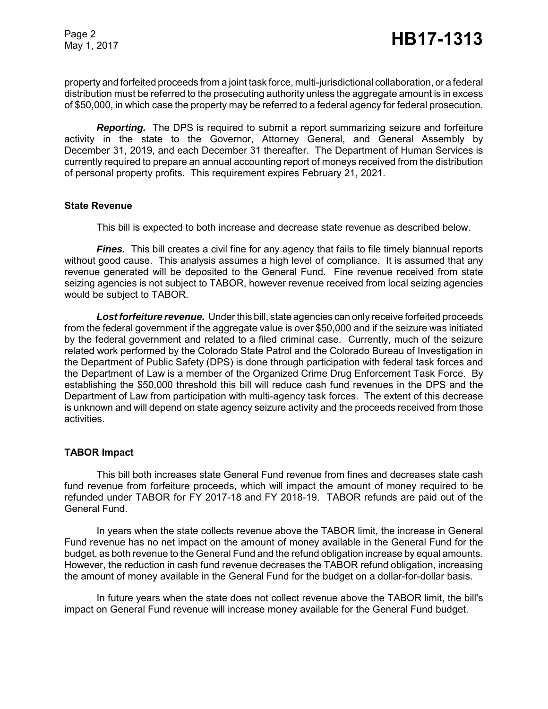Page 2

property and forfeited proceeds from a joint task force, multi-jurisdictional collaboration, or a federal distribution must be referred to the prosecuting authority unless the aggregate amount is in excess of \$50,000, in which case the property may be referred to a federal agency for federal prosecution.

*Reporting.* The DPS is required to submit a report summarizing seizure and forfeiture activity in the state to the Governor, Attorney General, and General Assembly by December 31, 2019, and each December 31 thereafter. The Department of Human Services is currently required to prepare an annual accounting report of moneys received from the distribution of personal property profits. This requirement expires February 21, 2021.

#### **State Revenue**

This bill is expected to both increase and decrease state revenue as described below.

*Fines.* This bill creates a civil fine for any agency that fails to file timely biannual reports without good cause. This analysis assumes a high level of compliance. It is assumed that any revenue generated will be deposited to the General Fund. Fine revenue received from state seizing agencies is not subject to TABOR, however revenue received from local seizing agencies would be subject to TABOR.

*Lost forfeiture revenue.* Under this bill, state agencies can only receive forfeited proceeds from the federal government if the aggregate value is over \$50,000 and if the seizure was initiated by the federal government and related to a filed criminal case. Currently, much of the seizure related work performed by the Colorado State Patrol and the Colorado Bureau of Investigation in the Department of Public Safety (DPS) is done through participation with federal task forces and the Department of Law is a member of the Organized Crime Drug Enforcement Task Force. By establishing the \$50,000 threshold this bill will reduce cash fund revenues in the DPS and the Department of Law from participation with multi-agency task forces. The extent of this decrease is unknown and will depend on state agency seizure activity and the proceeds received from those activities.

#### **TABOR Impact**

This bill both increases state General Fund revenue from fines and decreases state cash fund revenue from forfeiture proceeds, which will impact the amount of money required to be refunded under TABOR for FY 2017-18 and FY 2018-19. TABOR refunds are paid out of the General Fund.

In years when the state collects revenue above the TABOR limit, the increase in General Fund revenue has no net impact on the amount of money available in the General Fund for the budget, as both revenue to the General Fund and the refund obligation increase by equal amounts. However, the reduction in cash fund revenue decreases the TABOR refund obligation, increasing the amount of money available in the General Fund for the budget on a dollar-for-dollar basis.

In future years when the state does not collect revenue above the TABOR limit, the bill's impact on General Fund revenue will increase money available for the General Fund budget.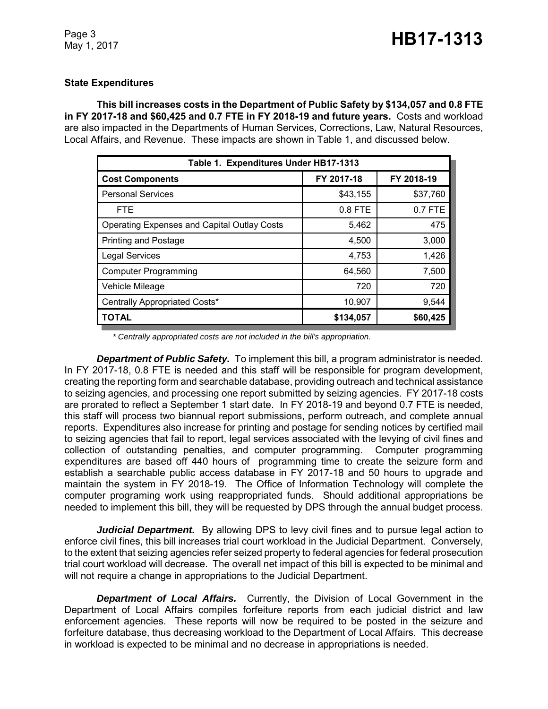#### **State Expenditures**

**This bill increases costs in the Department of Public Safety by \$134,057 and 0.8 FTE in FY 2017-18 and \$60,425 and 0.7 FTE in FY 2018-19 and future years.** Costs and workload are also impacted in the Departments of Human Services, Corrections, Law, Natural Resources, Local Affairs, and Revenue. These impacts are shown in Table 1, and discussed below.

| Table 1. Expenditures Under HB17-1313              |            |            |  |  |  |  |
|----------------------------------------------------|------------|------------|--|--|--|--|
| <b>Cost Components</b>                             | FY 2017-18 | FY 2018-19 |  |  |  |  |
| <b>Personal Services</b>                           | \$43,155   | \$37,760   |  |  |  |  |
| <b>FTE</b>                                         | 0.8 FTE    | 0.7 FTE    |  |  |  |  |
| <b>Operating Expenses and Capital Outlay Costs</b> | 5,462      | 475        |  |  |  |  |
| <b>Printing and Postage</b>                        | 4,500      | 3,000      |  |  |  |  |
| <b>Legal Services</b>                              | 4,753      | 1,426      |  |  |  |  |
| <b>Computer Programming</b>                        | 64,560     | 7,500      |  |  |  |  |
| Vehicle Mileage                                    | 720        | 720        |  |  |  |  |
| Centrally Appropriated Costs*                      | 10,907     | 9,544      |  |  |  |  |
| <b>TOTAL</b>                                       | \$134,057  | \$60,425   |  |  |  |  |

*\* Centrally appropriated costs are not included in the bill's appropriation.*

*Department of Public Safety.* To implement this bill, a program administrator is needed. In FY 2017-18, 0.8 FTE is needed and this staff will be responsible for program development, creating the reporting form and searchable database, providing outreach and technical assistance to seizing agencies, and processing one report submitted by seizing agencies. FY 2017-18 costs are prorated to reflect a September 1 start date. In FY 2018-19 and beyond 0.7 FTE is needed, this staff will process two biannual report submissions, perform outreach, and complete annual reports. Expenditures also increase for printing and postage for sending notices by certified mail to seizing agencies that fail to report, legal services associated with the levying of civil fines and collection of outstanding penalties, and computer programming. Computer programming expenditures are based off 440 hours of programming time to create the seizure form and establish a searchable public access database in FY 2017-18 and 50 hours to upgrade and maintain the system in FY 2018-19. The Office of Information Technology will complete the computer programing work using reappropriated funds. Should additional appropriations be needed to implement this bill, they will be requested by DPS through the annual budget process.

*Judicial Department.* By allowing DPS to levy civil fines and to pursue legal action to enforce civil fines, this bill increases trial court workload in the Judicial Department. Conversely, to the extent that seizing agencies refer seized property to federal agencies for federal prosecution trial court workload will decrease. The overall net impact of this bill is expected to be minimal and will not require a change in appropriations to the Judicial Department.

*Department of Local Affairs.* Currently, the Division of Local Government in the Department of Local Affairs compiles forfeiture reports from each judicial district and law enforcement agencies. These reports will now be required to be posted in the seizure and forfeiture database, thus decreasing workload to the Department of Local Affairs. This decrease in workload is expected to be minimal and no decrease in appropriations is needed.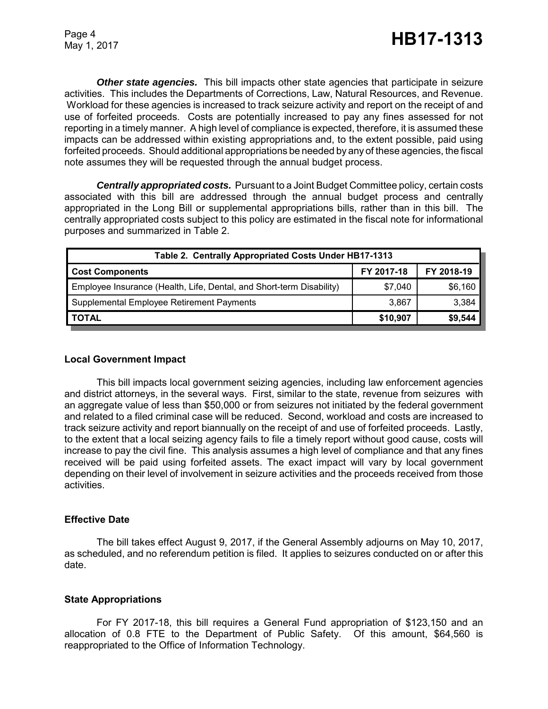*Other state agencies.* This bill impacts other state agencies that participate in seizure activities. This includes the Departments of Corrections, Law, Natural Resources, and Revenue. Workload for these agencies is increased to track seizure activity and report on the receipt of and use of forfeited proceeds. Costs are potentially increased to pay any fines assessed for not reporting in a timely manner. A high level of compliance is expected, therefore, it is assumed these impacts can be addressed within existing appropriations and, to the extent possible, paid using forfeited proceeds. Should additional appropriations be needed by any of these agencies, the fiscal note assumes they will be requested through the annual budget process.

*Centrally appropriated costs.* Pursuant to a Joint Budget Committee policy, certain costs associated with this bill are addressed through the annual budget process and centrally appropriated in the Long Bill or supplemental appropriations bills, rather than in this bill. The centrally appropriated costs subject to this policy are estimated in the fiscal note for informational purposes and summarized in Table 2.

| Table 2. Centrally Appropriated Costs Under HB17-1313                |            |            |  |  |  |
|----------------------------------------------------------------------|------------|------------|--|--|--|
| <b>Cost Components</b>                                               | FY 2017-18 | FY 2018-19 |  |  |  |
| Employee Insurance (Health, Life, Dental, and Short-term Disability) | \$7,040    | \$6,160    |  |  |  |
| Supplemental Employee Retirement Payments                            | 3.867      | 3,384      |  |  |  |
| <b>TOTAL</b>                                                         | \$10,907   | \$9,544    |  |  |  |

#### **Local Government Impact**

This bill impacts local government seizing agencies, including law enforcement agencies and district attorneys, in the several ways. First, similar to the state, revenue from seizures with an aggregate value of less than \$50,000 or from seizures not initiated by the federal government and related to a filed criminal case will be reduced. Second, workload and costs are increased to track seizure activity and report biannually on the receipt of and use of forfeited proceeds. Lastly, to the extent that a local seizing agency fails to file a timely report without good cause, costs will increase to pay the civil fine. This analysis assumes a high level of compliance and that any fines received will be paid using forfeited assets. The exact impact will vary by local government depending on their level of involvement in seizure activities and the proceeds received from those activities.

#### **Effective Date**

The bill takes effect August 9, 2017, if the General Assembly adjourns on May 10, 2017, as scheduled, and no referendum petition is filed. It applies to seizures conducted on or after this date.

#### **State Appropriations**

For FY 2017-18, this bill requires a General Fund appropriation of \$123,150 and an allocation of 0.8 FTE to the Department of Public Safety. Of this amount, \$64,560 is reappropriated to the Office of Information Technology.